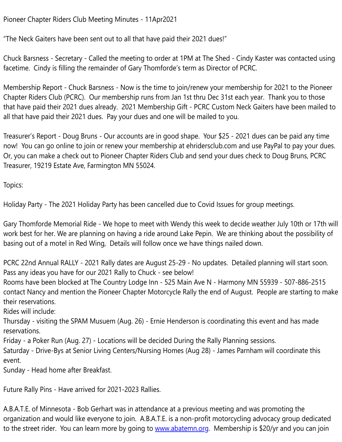Pioneer Chapter Riders Club Meeti[ng Minutes - 11Apr20](mailto:x_twin@hotmail.com)21

"The Neck Gaiters have been sent out to all that have paid their 2021 dues!"

Chuck Barsness - Secretary - Called the meeting to order at 1PM at The Shed - Cindy Kaster was contacted using facetime. Cindy is filling the remainder of Gary Thomforde's term as Director of PCRC.

Membership Report - Chuck Barsness - Now is the time to join/renew your membership for 2021 to the Pioneer Chapter Riders Club (PCRC). Our membership runs from Jan 1st thru Dec 31st each year. Thank you to those that have paid their 2021 dues already. 2021 Membership Gift - PCRC Custom Neck Gaiters have been mailed to all that have paid their 2021 dues. Pay your dues and one will be mailed to you.

Treasurer's Report - Doug Bruns - Our accounts are in good shape. Your \$25 - 2021 dues can be paid any time now! You can go online to join or renew your membership at ehridersclub.com and use PayPal to pay your dues. Or, you can make a check out to Pioneer Chapter Riders Club and send your dues check to Doug Bruns, PCRC Treasurer, 19219 Estate Ave, Farmington MN 55024.

Topics:

Holiday Party - The 2021 Holiday Party has been cancelled due to Covid Issues for group meetings.

Gary Thomforde Memorial Ride - We hope to meet with Wendy this week to decide weather July 10th or 17th will work best for her. We are planning on having a ride around Lake Pepin. We are thinking about the possibility of basing out of a motel in Red Wing, Details will follow once we have things nailed down.

PCRC 22nd Annual RALLY - 2021 Rally dates are August 25-29 - No updates. Detailed planning will start soon. Pass any ideas you have for our 2021 Rally to Chuck - see below!

Rooms have been blocked at The Country Lodge Inn - 525 Main Ave N - Harmony MN 55939 - 507-886-2515 contact Nancy and mention the Pioneer Chapter Motorcycle Rally the end of August. People are starting to make their reservations.

Rides will include:

Thursday - visiting the SPAM Musuem (Aug. 26) - Ernie Henderson is coordinating this event and has made reservations.

Friday - a Poker Run (Aug. 27) - Locations will be decided During the Rally Planning sessions.

Saturday - Drive-Bys at Senior Living Centers/Nursing Homes (Aug 28) - James Parnham will coordinate this event.

Sunday - Head home after Breakfast.

Future Rally Pins - Have arrived for 2021-2023 Rallies.

A.B.A.T.E. of Minnesota - Bob Gerhart was in attendance at a previous meeting and was promoting the organization and would like everyone to join. A.B.A.T.E. is a non-profit motorcycling advocacy group dedicated to the street rider. You can learn more by going to [www.abatemn.org.](http://www.abatemn.org/) Membership is \$20/yr and you can join